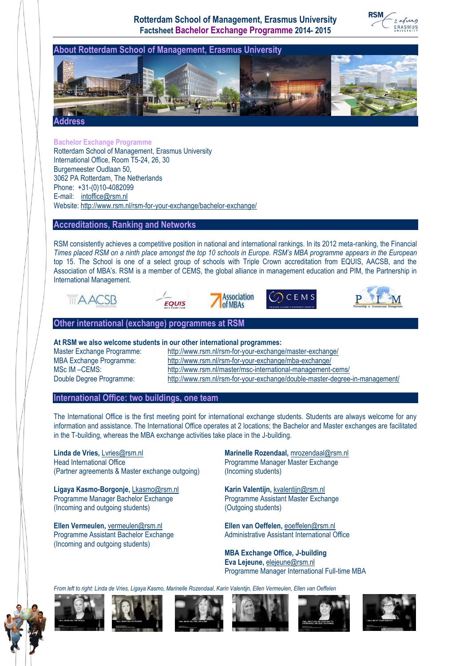**Rotterdam School of Management, Erasmus University Factsheet Bachelor Exchange Programme 2014- 2015**

**RSM** 



**Bachelor Exchange Programme** Rotterdam School of Management, Erasmus University International Office, Room T5-24, 26, 30 Burgemeester Oudlaan 50, 3062 PA Rotterdam, The Netherlands Phone: +31-(0)10-4082099 E-mail: [intoffice@rsm.nl](mailto:intoffice@rsm.nl) Website:<http://www.rsm.nl/rsm-for-your-exchange/bachelor-exchange/>

# **Accreditations, Ranking and Networks**

RSM consistently achieves a competitive position in national and international rankings. In its 2012 meta-ranking, the Financial *Times placed RSM on a ninth place amongst the top 10 schools in Europe. RSM's MBA programme appears in the European* top 15. The School is one of a select group of schools with Triple Crown accreditation from EQUIS, AACSB, and the Association of MBA's. RSM is a member of CEMS, the global alliance in management education and PIM, the Partnership in International Management.

of MBAs









# **Other international (exchange) programmes at RSM**

# **At RSM we also welcome students in our other international programmes:**

Master Exchange Programme: <http://www.rsm.nl/rsm-for-your-exchange/master-exchange/><br>MBA Exchange Programme: http://www.rsm.nl/rsm-for-your-exchange/mba-exchange/ <http://www.rsm.nl/rsm-for-your-exchange/mba-exchange/> MSc IM –CEMS: <http://www.rsm.nl/master/msc-international-management-cems/> Double Degree Programme: <http://www.rsm.nl/rsm-for-your-exchange/double-master-degree-in-management/>

# **International Office: two buildings, one team**

The International Office is the first meeting point for international exchange students. Students are always welcome for any information and assistance. The International Office operates at 2 locations; the Bachelor and Master exchanges are facilitated in the T-building, whereas the MBA exchange activities take place in the J-building.

**Linda de Vries,** [Lvries@rsm.nl](mailto:Lvries@rsm.nl) **Marinelle Rozendaal,** [mrozendaal@rsm.nl](mailto:mrozendaal@rsm.nl) Head International Office **Programme Manager Master Exchange** (Partner agreements & Master exchange outgoing) (Incoming students)

Ligaya Kasmo-Borgonje, *[Lkasmo@rsm.nl](mailto:Lkasmo@rsm.nl)* Karin Valentijn, *[kvalentijn@rsm.nl](mailto:kvalentijn@rsm.nl)* Programme Manager Bachelor Exchange Programme Assistant Master Exchange (Incoming and outgoing students) (Outgoing students)

**Ellen Vermeulen,** [vermeulen@rsm.nl](mailto:vermeulen@rsm.nl) **Ellen van Oeffelen,** [eoeffelen@rsm.nl](mailto:eoeffelen@rsm.nl) (Incoming and outgoing students)

Programme Assistant Bachelor Exchange Administrative Assistant International Office

**MBA Exchange Office, J-building Eva Lejeune,** [elejeune@rsm.nl](mailto:elejeune@rsm.nl) Programme Manager International Full-time MBA

*From left to right: Linda de Vries, Ligaya Kasmo, Marinelle Rozendaal, Karin Valentijn, Ellen Vermeulen, Ellen van Oeffelen*











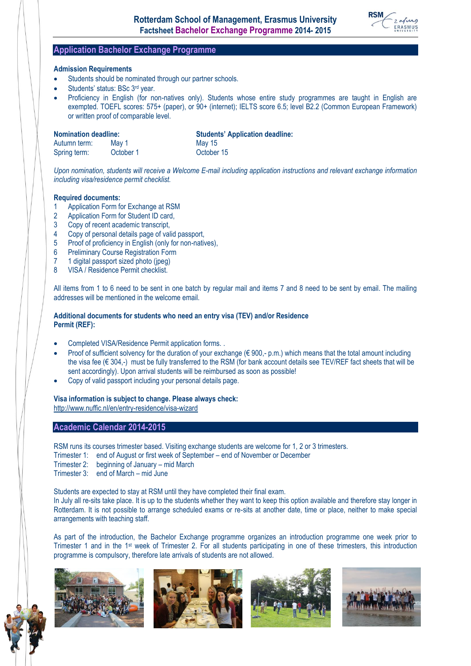

# **Application Bachelor Exchange Programme**

#### **Admission Requirements**

- Students should be nominated through our partner schools.
- Students' status: BSc 3rd year.
- Proficiency in English (for non-natives only). Students whose entire study programmes are taught in English are exempted. TOEFL scores: 575+ (paper), or 90+ (internet); IELTS score 6.5; level B2.2 (Common European Framework) or written proof of comparable level.

| <b>Nomination deadline:</b> |           | <b>Students' Application deadline:</b> |
|-----------------------------|-----------|----------------------------------------|
| Autumn term:                | Mav 1     | May 15                                 |
| Spring term:                | October 1 | October 15                             |

*Upon nomination, students will receive a Welcome E-mail including application instructions and relevant exchange information including visa/residence permit checklist.* 

#### **Required documents:**

- 1 Application Form for Exchange at RSM
- 2 Application Form for Student ID card,
- 3 Copy of recent academic transcript,<br>4 Copy of personal details page of val
- 4 Copy of personal details page of valid passport,
- 5 Proof of proficiency in English (only for non-natives),
- 6 Preliminary Course Registration Form
- 7 1 digital passport sized photo (jpeg)
- 8 VISA / Residence Permit checklist.

All items from 1 to 6 need to be sent in one batch by regular mail and items 7 and 8 need to be sent by email. The mailing addresses will be mentioned in the welcome email.

# **Additional documents for students who need an entry visa (TEV) and/or Residence Permit (REF):**

- Completed VISA/Residence Permit application forms. .
- Proof of sufficient solvency for the duration of your exchange ( $\\epsilon$  900,- p.m.) which means that the total amount including the visa fee ( $\in$  304,-) must be fully transferred to the RSM (for bank account details see TEV/REF fact sheets that will be sent accordingly). Upon arrival students will be reimbursed as soon as possible!
- Copy of valid passport including your personal details page.

#### **Visa information is subject to change. Please always check:**

<http://www.nuffic.nl/en/entry-residence/visa-wizard>

# **Academic Calendar 2014-2015**

RSM runs its courses trimester based. Visiting exchange students are welcome for 1, 2 or 3 trimesters.

- Trimester 1: end of August or first week of September end of November or December
- Trimester 2: beginning of January mid March
- Trimester 3: end of March mid June

Students are expected to stay at RSM until they have completed their final exam.

In July all re-sits take place. It is up to the students whether they want to keep this option available and therefore stay longer in Rotterdam. It is not possible to arrange scheduled exams or re-sits at another date, time or place, neither to make special arrangements with teaching staff.

As part of the introduction, the Bachelor Exchange programme organizes an introduction programme one week prior to Trimester 1 and in the 1st week of Trimester 2. For all students participating in one of these trimesters, this introduction programme is compulsory, therefore late arrivals of students are not allowed.

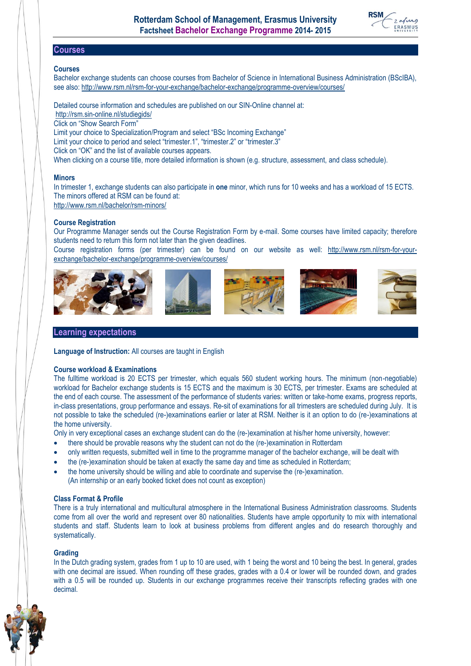

# **Courses**

#### **Courses**

Bachelor exchange students can choose courses from Bachelor of Science in International Business Administration (BScIBA), see also:<http://www.rsm.nl/rsm-for-your-exchange/bachelor-exchange/programme-overview/courses/>

Detailed course information and schedules are published on our SIN-Online channel at: <http://rsm.sin-online.nl/studiegids/> Click on "Show Search Form" Limit your choice to Specialization/Program and select "BSc Incoming Exchange" Limit your choice to period and select "trimester.1", "trimester.2" or "trimester.3" Click on "OK" and the list of available courses appears. When clicking on a course title, more detailed information is shown (e.g. structure, assessment, and class schedule).

#### **Minors**

In trimester 1, exchange students can also participate in **one** minor, which runs for 10 weeks and has a workload of 15 ECTS. The minors offered at RSM can be found at:

<http://www.rsm.nl/bachelor/rsm-minors/>

#### **Course Registration**

Our Programme Manager sends out the Course Registration Form by e-mail. Some courses have limited capacity; therefore students need to return this form not later than the given deadlines.

Course registration forms (per trimester) can be found on our website as well: [http://www.rsm.nl/rsm-for-your](http://www.rsm.nl/rsm-for-your-exchange/bachelor-exchange/programme-overview/courses/)[exchange/bachelor-exchange/programme-overview/courses/](http://www.rsm.nl/rsm-for-your-exchange/bachelor-exchange/programme-overview/courses/)



# **Learning expectations**

**Language of Instruction:** All courses are taught in English

#### **Course workload & Examinations**

The fulltime workload is 20 ECTS per trimester, which equals 560 student working hours. The minimum (non-negotiable) workload for Bachelor exchange students is 15 ECTS and the maximum is 30 ECTS, per trimester. Exams are scheduled at the end of each course. The assessment of the performance of students varies: written or take-home exams, progress reports, in-class presentations, group performance and essays. Re-sit of examinations for all trimesters are scheduled during July. It is not possible to take the scheduled (re-)examinations earlier or later at RSM. Neither is it an option to do (re-)examinations at the home university.

Only in very exceptional cases an exchange student can do the (re-)examination at his/her home university, however:

- there should be provable reasons why the student can not do the (re-)examination in Rotterdam
- only written requests, submitted well in time to the programme manager of the bachelor exchange, will be dealt with
- the (re-)examination should be taken at exactly the same day and time as scheduled in Rotterdam;
- the home university should be willing and able to coordinate and supervise the (re-)examination. (An internship or an early booked ticket does not count as exception)

#### **Class Format & Profile**

There is a truly international and multicultural atmosphere in the International Business Administration classrooms. Students come from all over the world and represent over 80 nationalities. Students have ample opportunity to mix with international students and staff. Students learn to look at business problems from different angles and do research thoroughly and systematically.

#### **Grading**

In the Dutch grading system, grades from 1 up to 10 are used, with 1 being the worst and 10 being the best. In general, grades with one decimal are issued. When rounding off these grades, grades with a 0.4 or lower will be rounded down, and grades with a 0.5 will be rounded up. Students in our exchange programmes receive their transcripts reflecting grades with one decimal.